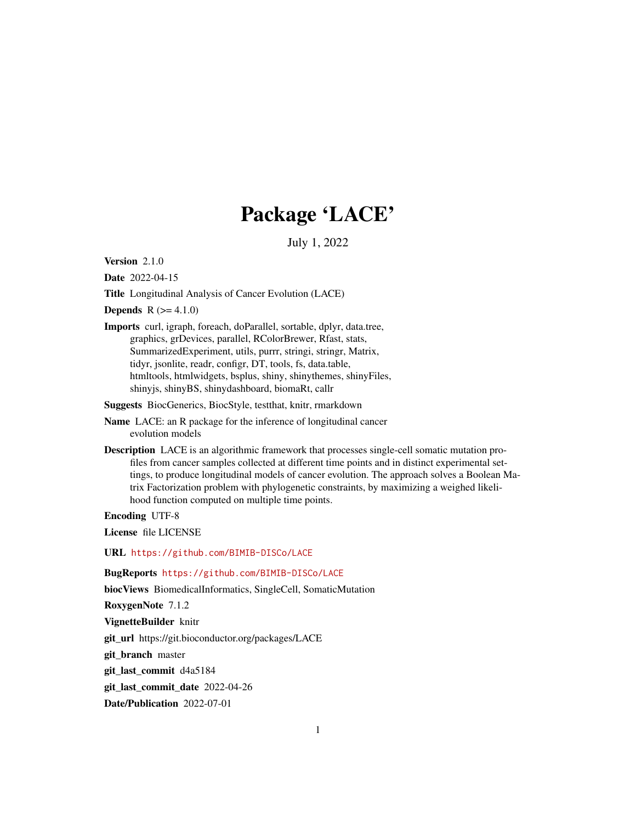## Package 'LACE'

July 1, 2022

Version 2.1.0

Date 2022-04-15

Title Longitudinal Analysis of Cancer Evolution (LACE)

**Depends**  $R (= 4.1.0)$ 

Imports curl, igraph, foreach, doParallel, sortable, dplyr, data.tree, graphics, grDevices, parallel, RColorBrewer, Rfast, stats, SummarizedExperiment, utils, purrr, stringi, stringr, Matrix, tidyr, jsonlite, readr, configr, DT, tools, fs, data.table, htmltools, htmlwidgets, bsplus, shiny, shinythemes, shinyFiles, shinyjs, shinyBS, shinydashboard, biomaRt, callr

Suggests BiocGenerics, BiocStyle, testthat, knitr, rmarkdown

Name LACE: an R package for the inference of longitudinal cancer evolution models

Description LACE is an algorithmic framework that processes single-cell somatic mutation profiles from cancer samples collected at different time points and in distinct experimental settings, to produce longitudinal models of cancer evolution. The approach solves a Boolean Matrix Factorization problem with phylogenetic constraints, by maximizing a weighed likelihood function computed on multiple time points.

Encoding UTF-8

License file LICENSE

URL <https://github.com/BIMIB-DISCo/LACE>

BugReports <https://github.com/BIMIB-DISCo/LACE>

biocViews BiomedicalInformatics, SingleCell, SomaticMutation

RoxygenNote 7.1.2

VignetteBuilder knitr

git\_url https://git.bioconductor.org/packages/LACE

git\_branch master

git\_last\_commit d4a5184

git last commit date 2022-04-26

Date/Publication 2022-07-01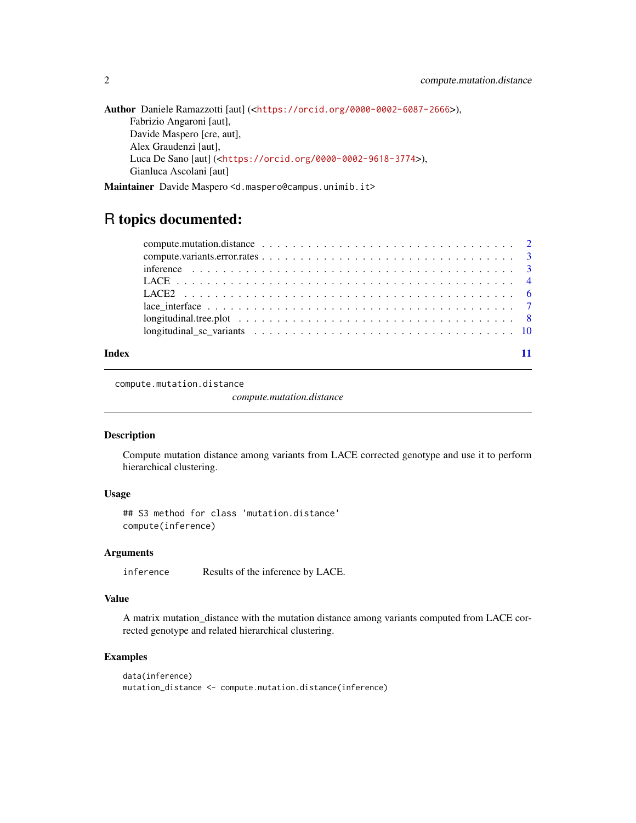```
Author Daniele Ramazzotti [aut] (<https://orcid.org/0000-0002-6087-2666>),
     Fabrizio Angaroni [aut],
     Davide Maspero [cre, aut],
     Alex Graudenzi [aut],
     Luca De Sano [aut] (<https://orcid.org/0000-0002-9618-3774>),
     Gianluca Ascolani [aut]
```
Maintainer Davide Maspero <d.maspero@campus.unimib.it>

## R topics documented:

#### **Index** [11](#page-10-0)

compute.mutation.distance

*compute.mutation.distance*

#### Description

Compute mutation distance among variants from LACE corrected genotype and use it to perform hierarchical clustering.

#### Usage

## S3 method for class 'mutation.distance' compute(inference)

#### Arguments

inference Results of the inference by LACE.

#### Value

A matrix mutation\_distance with the mutation distance among variants computed from LACE corrected genotype and related hierarchical clustering.

#### Examples

```
data(inference)
mutation_distance <- compute.mutation.distance(inference)
```
<span id="page-1-0"></span>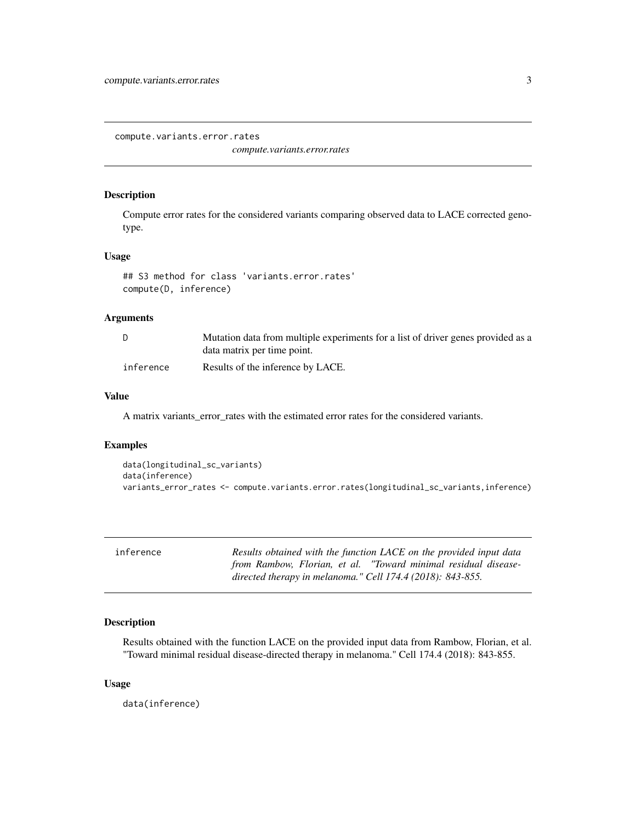<span id="page-2-0"></span>compute.variants.error.rates

*compute.variants.error.rates*

#### Description

Compute error rates for the considered variants comparing observed data to LACE corrected genotype.

#### Usage

```
## S3 method for class 'variants.error.rates'
compute(D, inference)
```
#### Arguments

|           | Mutation data from multiple experiments for a list of driver genes provided as a |
|-----------|----------------------------------------------------------------------------------|
|           | data matrix per time point.                                                      |
| inference | Results of the inference by LACE.                                                |

#### Value

A matrix variants\_error\_rates with the estimated error rates for the considered variants.

### Examples

```
data(longitudinal_sc_variants)
data(inference)
variants_error_rates <- compute.variants.error.rates(longitudinal_sc_variants,inference)
```

| inference | Results obtained with the function LACE on the provided input data |
|-----------|--------------------------------------------------------------------|
|           | from Rambow, Florian, et al. "Toward minimal residual disease-     |
|           | directed therapy in melanoma." Cell 174.4 (2018): $843-855$ .      |

#### Description

Results obtained with the function LACE on the provided input data from Rambow, Florian, et al. "Toward minimal residual disease-directed therapy in melanoma." Cell 174.4 (2018): 843-855.

#### Usage

data(inference)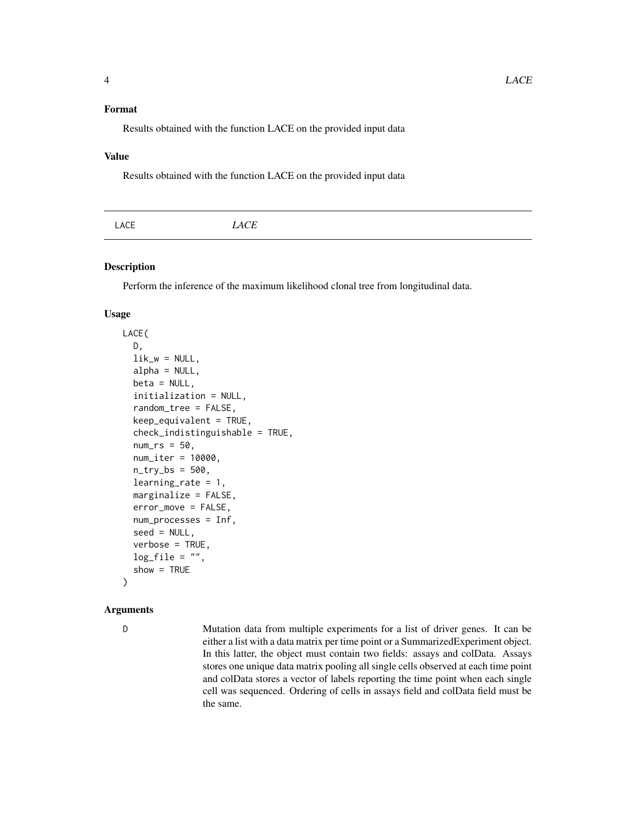<span id="page-3-0"></span>Results obtained with the function LACE on the provided input data

#### Value

Results obtained with the function LACE on the provided input data

| $\mathbf{A}$ | -- | LACE |
|--------------|----|------|
|--------------|----|------|

#### Description

Perform the inference of the maximum likelihood clonal tree from longitudinal data.

#### Usage

```
LACE(
  D,
  lik_w = NULL,alpha = NULL,beta = NULL,initialization = NULL,
  random_tree = FALSE,
  keep_equivalent = TRUE,
  check_indistinguishable = TRUE,
  num\_rs = 50,
  num_iter = 10000,
  n_{try\_bs} = 500,
  learning_rate = 1,
  marginalize = FALSE,
  error_move = FALSE,
  num_processes = Inf,
  seed = NULL,
  verbose = TRUE,
  log_file = "",show = TRUE
)
```
#### Arguments

D Mutation data from multiple experiments for a list of driver genes. It can be either a list with a data matrix per time point or a SummarizedExperiment object. In this latter, the object must contain two fields: assays and colData. Assays stores one unique data matrix pooling all single cells observed at each time point and colData stores a vector of labels reporting the time point when each single cell was sequenced. Ordering of cells in assays field and colData field must be the same.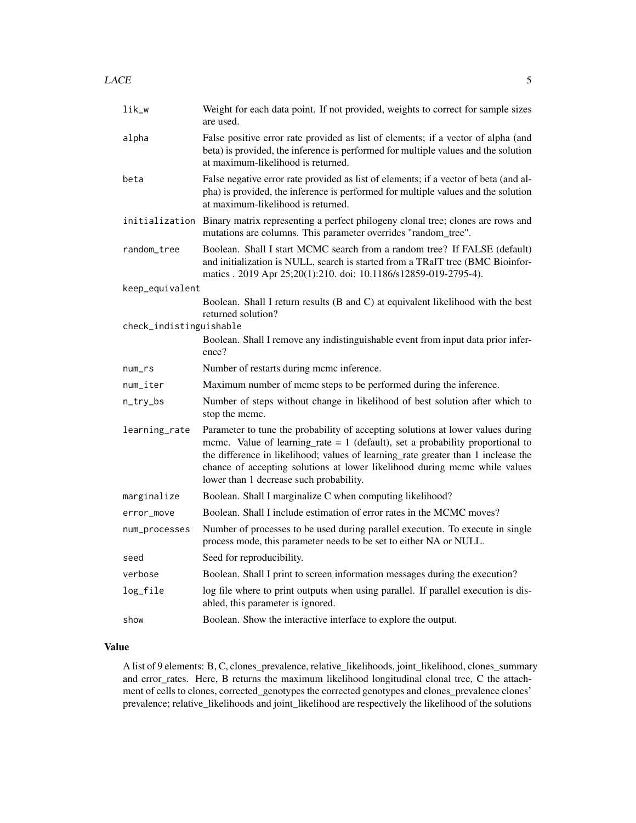| lik_w                   | Weight for each data point. If not provided, weights to correct for sample sizes<br>are used.                                                                                                                                                                                                                                                                                    |
|-------------------------|----------------------------------------------------------------------------------------------------------------------------------------------------------------------------------------------------------------------------------------------------------------------------------------------------------------------------------------------------------------------------------|
| alpha                   | False positive error rate provided as list of elements; if a vector of alpha (and<br>beta) is provided, the inference is performed for multiple values and the solution<br>at maximum-likelihood is returned.                                                                                                                                                                    |
| beta                    | False negative error rate provided as list of elements; if a vector of beta (and al-<br>pha) is provided, the inference is performed for multiple values and the solution<br>at maximum-likelihood is returned.                                                                                                                                                                  |
|                         | initialization Binary matrix representing a perfect philogeny clonal tree; clones are rows and<br>mutations are columns. This parameter overrides "random_tree".                                                                                                                                                                                                                 |
| random_tree             | Boolean. Shall I start MCMC search from a random tree? If FALSE (default)<br>and initialization is NULL, search is started from a TRaIT tree (BMC Bioinfor-<br>matics . 2019 Apr 25;20(1):210. doi: 10.1186/s12859-019-2795-4).                                                                                                                                                  |
| keep_equivalent         |                                                                                                                                                                                                                                                                                                                                                                                  |
|                         | Boolean. Shall I return results (B and C) at equivalent likelihood with the best<br>returned solution?                                                                                                                                                                                                                                                                           |
| check_indistinguishable |                                                                                                                                                                                                                                                                                                                                                                                  |
|                         | Boolean. Shall I remove any indistinguishable event from input data prior infer-<br>ence?                                                                                                                                                                                                                                                                                        |
| $num\_rs$               | Number of restarts during mcmc inference.                                                                                                                                                                                                                                                                                                                                        |
| num_iter                | Maximum number of mcmc steps to be performed during the inference.                                                                                                                                                                                                                                                                                                               |
| n_try_bs                | Number of steps without change in likelihood of best solution after which to<br>stop the mcmc.                                                                                                                                                                                                                                                                                   |
| learning_rate           | Parameter to tune the probability of accepting solutions at lower values during<br>mcmc. Value of learning rate $= 1$ (default), set a probability proportional to<br>the difference in likelihood; values of learning_rate greater than 1 inclease the<br>chance of accepting solutions at lower likelihood during mcmc while values<br>lower than 1 decrease such probability. |
| marginalize             | Boolean. Shall I marginalize C when computing likelihood?                                                                                                                                                                                                                                                                                                                        |
| error_move              | Boolean. Shall I include estimation of error rates in the MCMC moves?                                                                                                                                                                                                                                                                                                            |
|                         |                                                                                                                                                                                                                                                                                                                                                                                  |

num\_processes Number of processes to be used during parallel execution. To execute in single process mode, this parameter needs to be set to either NA or NULL.

## seed Seed for reproducibility. verbose Boolean. Shall I print to screen information messages during the execution? log\_file log file where to print outputs when using parallel. If parallel execution is disabled, this parameter is ignored.

#### show Boolean. Show the interactive interface to explore the output.

#### Value

A list of 9 elements: B, C, clones\_prevalence, relative\_likelihoods, joint\_likelihood, clones\_summary and error\_rates. Here, B returns the maximum likelihood longitudinal clonal tree, C the attachment of cells to clones, corrected\_genotypes the corrected genotypes and clones\_prevalence clones' prevalence; relative\_likelihoods and joint\_likelihood are respectively the likelihood of the solutions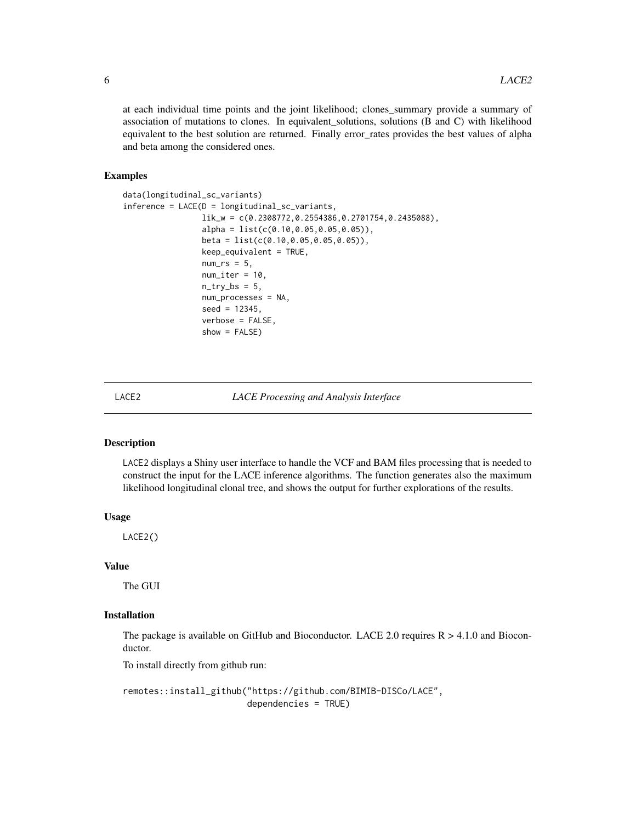<span id="page-5-0"></span>at each individual time points and the joint likelihood; clones\_summary provide a summary of association of mutations to clones. In equivalent\_solutions, solutions (B and C) with likelihood equivalent to the best solution are returned. Finally error\_rates provides the best values of alpha and beta among the considered ones.

#### Examples

```
data(longitudinal_sc_variants)
inference = LACE(D = longitudinal_sc_variants,
                 lik_w = c(0.2308772,0.2554386,0.2701754,0.2435088),
                 alpha = list(c(0.10, 0.05, 0.05, 0.05)),beta = list(c(0.10,0.05,0.05,0.05)),
                 keep_equivalent = TRUE,
                 num_r = 5,
                 num\_iter = 10,
                 n_{try\_bs} = 5,
                 num_processes = NA,
                 seed = 12345,
                 verbose = FALSE,
                 show = FALSE)
```
LACE2 *LACE Processing and Analysis Interface*

#### Description

LACE2 displays a Shiny user interface to handle the VCF and BAM files processing that is needed to construct the input for the LACE inference algorithms. The function generates also the maximum likelihood longitudinal clonal tree, and shows the output for further explorations of the results.

#### Usage

LACE2()

#### Value

The GUI

#### Installation

The package is available on GitHub and Bioconductor. LACE 2.0 requires  $R > 4.1.0$  and Bioconductor.

To install directly from github run:

remotes::install\_github("https://github.com/BIMIB-DISCo/LACE", dependencies = TRUE)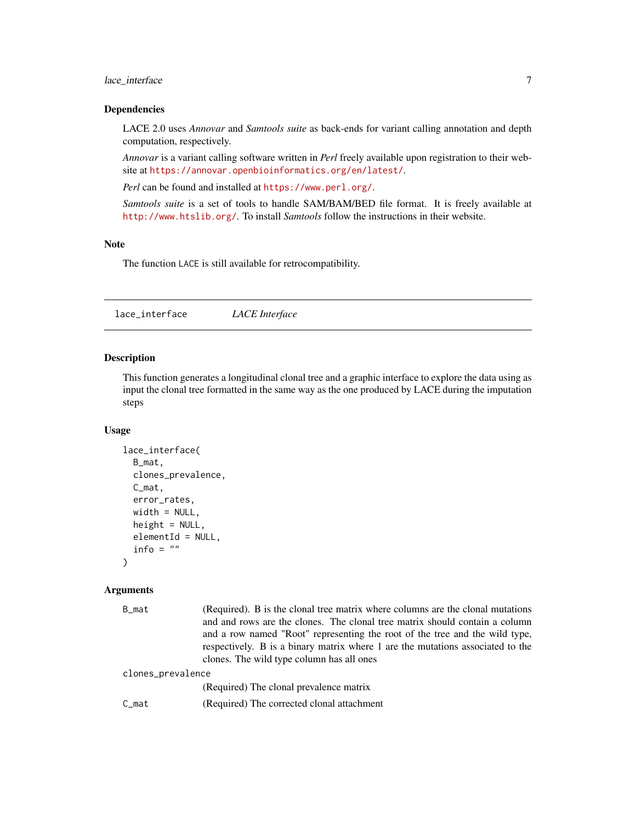#### <span id="page-6-0"></span>lace\_interface 7 7

#### Dependencies

LACE 2.0 uses *Annovar* and *Samtools suite* as back-ends for variant calling annotation and depth computation, respectively.

*Annovar* is a variant calling software written in *Perl* freely available upon registration to their website at <https://annovar.openbioinformatics.org/en/latest/>.

*Perl* can be found and installed at <https://www.perl.org/>.

*Samtools suite* is a set of tools to handle SAM/BAM/BED file format. It is freely available at <http://www.htslib.org/>. To install *Samtools* follow the instructions in their website.

#### Note

The function LACE is still available for retrocompatibility.

lace\_interface *LACE Interface*

#### Description

This function generates a longitudinal clonal tree and a graphic interface to explore the data using as input the clonal tree formatted in the same way as the one produced by LACE during the imputation steps

#### Usage

```
lace_interface(
 B_mat,
 clones_prevalence,
 C_mat,
 error_rates,
 width = NULL,
 height = NULL,elementId = NULL,info = ")
```
#### Arguments

| B_mat             | (Required). B is the clonal tree matrix where columns are the clonal mutations<br>and and rows are the clones. The clonal tree matrix should contain a column<br>and a row named "Root" representing the root of the tree and the wild type,<br>respectively. B is a binary matrix where 1 are the mutations associated to the<br>clones. The wild type column has all ones |  |
|-------------------|-----------------------------------------------------------------------------------------------------------------------------------------------------------------------------------------------------------------------------------------------------------------------------------------------------------------------------------------------------------------------------|--|
| clones_prevalence |                                                                                                                                                                                                                                                                                                                                                                             |  |
|                   | (Required) The clonal prevalence matrix                                                                                                                                                                                                                                                                                                                                     |  |
| C mat             | (Required) The corrected clonal attachment                                                                                                                                                                                                                                                                                                                                  |  |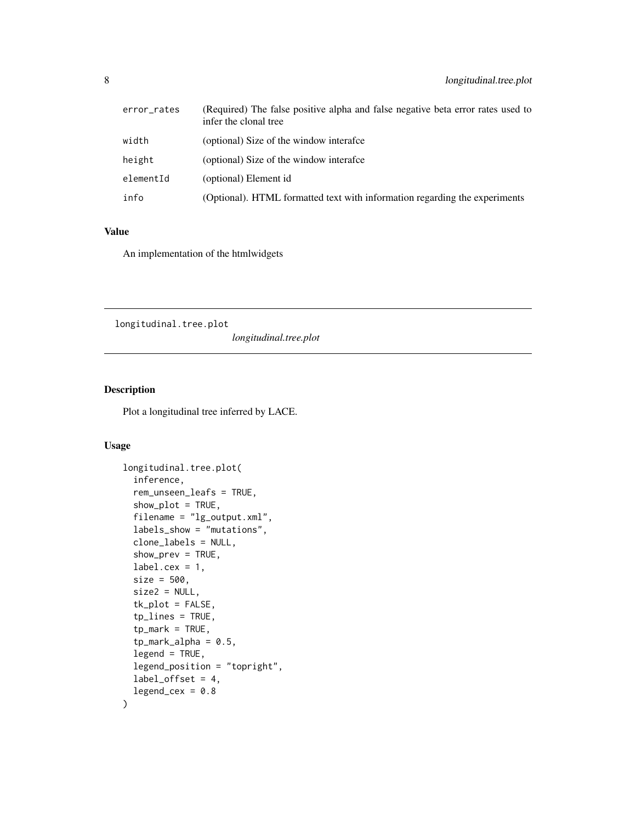<span id="page-7-0"></span>

| error_rates | (Required) The false positive alpha and false negative beta error rates used to<br>infer the clonal tree |
|-------------|----------------------------------------------------------------------------------------------------------|
| width       | (optional) Size of the window interafce                                                                  |
| height      | (optional) Size of the window interafce                                                                  |
| elementId   | (optional) Element id                                                                                    |
| info        | (Optional). HTML formatted text with information regarding the experiments                               |

#### Value

An implementation of the htmlwidgets

longitudinal.tree.plot

*longitudinal.tree.plot*

#### Description

Plot a longitudinal tree inferred by LACE.

## Usage

```
longitudinal.tree.plot(
  inference,
  rem_unseen_leafs = TRUE,
  show\_plot = TRUE,filename = "lg_output.xml",
  labels_show = "mutations",
  clone_labels = NULL,
  show_prev = TRUE,
  label.cex = 1,size = 500,
  size2 = NULL,
  tk_plot = FALSE,
  tp_lines = TRUE,
  tp_mark = TRUE,
  tp\_mark\_alpha = 0.5,
  legend = TRUE,
  legend_position = "topright",
  label_ofset = 4,legend_cex = 0.8\mathcal{E}
```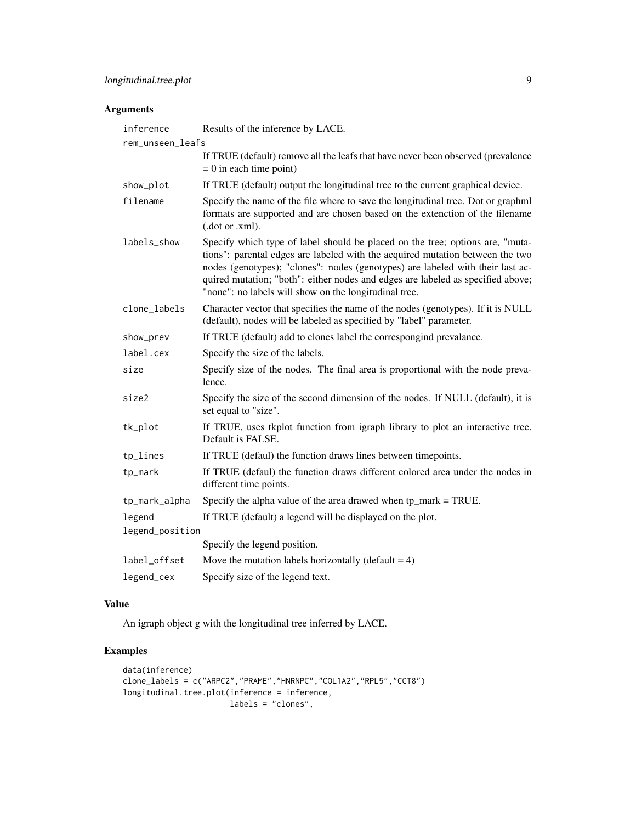## Arguments

| inference                 | Results of the inference by LACE.                                                                                                                                                                                                                                                                                                                                                            |
|---------------------------|----------------------------------------------------------------------------------------------------------------------------------------------------------------------------------------------------------------------------------------------------------------------------------------------------------------------------------------------------------------------------------------------|
| rem_unseen_leafs          |                                                                                                                                                                                                                                                                                                                                                                                              |
|                           | If TRUE (default) remove all the leafs that have never been observed (prevalence<br>$= 0$ in each time point)                                                                                                                                                                                                                                                                                |
| show_plot                 | If TRUE (default) output the longitudinal tree to the current graphical device.                                                                                                                                                                                                                                                                                                              |
| filename                  | Specify the name of the file where to save the longitudinal tree. Dot or graphml<br>formats are supported and are chosen based on the extenction of the filename<br>(.dot or .xml).                                                                                                                                                                                                          |
| labels_show               | Specify which type of label should be placed on the tree; options are, "muta-<br>tions": parental edges are labeled with the acquired mutation between the two<br>nodes (genotypes); "clones": nodes (genotypes) are labeled with their last ac-<br>quired mutation; "both": either nodes and edges are labeled as specified above;<br>"none": no labels will show on the longitudinal tree. |
| clone_labels              | Character vector that specifies the name of the nodes (genotypes). If it is NULL<br>(default), nodes will be labeled as specified by "label" parameter.                                                                                                                                                                                                                                      |
| show_prev                 | If TRUE (default) add to clones label the correspongind prevalance.                                                                                                                                                                                                                                                                                                                          |
| label.cex                 | Specify the size of the labels.                                                                                                                                                                                                                                                                                                                                                              |
| size                      | Specify size of the nodes. The final area is proportional with the node preva-<br>lence.                                                                                                                                                                                                                                                                                                     |
| size2                     | Specify the size of the second dimension of the nodes. If NULL (default), it is<br>set equal to "size".                                                                                                                                                                                                                                                                                      |
| tk_plot                   | If TRUE, uses tkplot function from igraph library to plot an interactive tree.<br>Default is FALSE.                                                                                                                                                                                                                                                                                          |
| tp_lines                  | If TRUE (defaul) the function draws lines between timepoints.                                                                                                                                                                                                                                                                                                                                |
| tp_mark                   | If TRUE (defaul) the function draws different colored area under the nodes in<br>different time points.                                                                                                                                                                                                                                                                                      |
| tp_mark_alpha             | Specify the alpha value of the area drawed when $tp\_mark = TRUE$ .                                                                                                                                                                                                                                                                                                                          |
| legend<br>legend_position | If TRUE (default) a legend will be displayed on the plot.                                                                                                                                                                                                                                                                                                                                    |
|                           | Specify the legend position.                                                                                                                                                                                                                                                                                                                                                                 |
| label_offset              | Move the mutation labels horizontally (default $= 4$ )                                                                                                                                                                                                                                                                                                                                       |
| legend_cex                | Specify size of the legend text.                                                                                                                                                                                                                                                                                                                                                             |

## Value

An igraph object g with the longitudinal tree inferred by LACE.

## Examples

```
data(inference)
clone_labels = c("ARPC2","PRAME","HNRNPC","COL1A2","RPL5","CCT8")
longitudinal.tree.plot(inference = inference,
                      labels = "clones",
```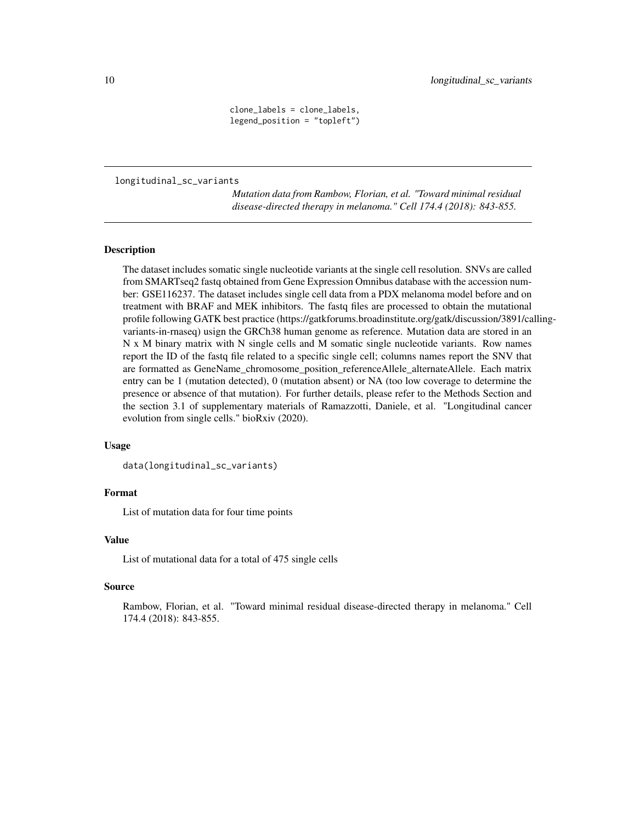clone\_labels = clone\_labels, legend\_position = "topleft")

<span id="page-9-0"></span>longitudinal\_sc\_variants

*Mutation data from Rambow, Florian, et al. "Toward minimal residual disease-directed therapy in melanoma." Cell 174.4 (2018): 843-855.*

#### Description

The dataset includes somatic single nucleotide variants at the single cell resolution. SNVs are called from SMARTseq2 fastq obtained from Gene Expression Omnibus database with the accession number: GSE116237. The dataset includes single cell data from a PDX melanoma model before and on treatment with BRAF and MEK inhibitors. The fastq files are processed to obtain the mutational profile following GATK best practice (https://gatkforums.broadinstitute.org/gatk/discussion/3891/callingvariants-in-rnaseq) usign the GRCh38 human genome as reference. Mutation data are stored in an N x M binary matrix with N single cells and M somatic single nucleotide variants. Row names report the ID of the fastq file related to a specific single cell; columns names report the SNV that are formatted as GeneName\_chromosome\_position\_referenceAllele\_alternateAllele. Each matrix entry can be 1 (mutation detected), 0 (mutation absent) or NA (too low coverage to determine the presence or absence of that mutation). For further details, please refer to the Methods Section and the section 3.1 of supplementary materials of Ramazzotti, Daniele, et al. "Longitudinal cancer evolution from single cells." bioRxiv (2020).

#### Usage

```
data(longitudinal_sc_variants)
```
#### Format

List of mutation data for four time points

#### Value

List of mutational data for a total of 475 single cells

#### Source

Rambow, Florian, et al. "Toward minimal residual disease-directed therapy in melanoma." Cell 174.4 (2018): 843-855.